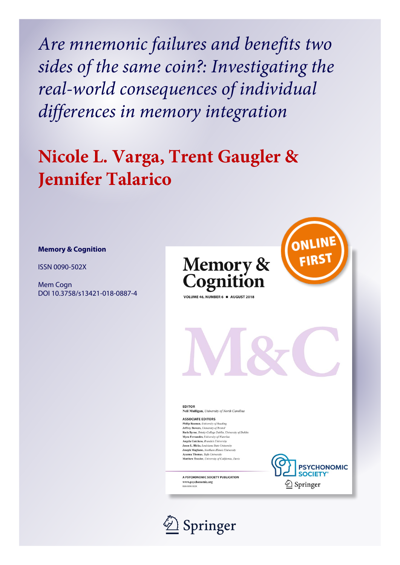*Are mnemonic failures and benefits two sides of the same coin?: Investigating the real-world consequences of individual differences in memory integration*

# **Nicole L. Varga, Trent Gaugler & Jennifer Talarico**

# **Memory & Cognition**

ISSN 0090-502X

Mem Cogn DOI 10.3758/s13421-018-0887-4





**EDITOR Neil Mulligan**, University of North Carolina

**ASSOCIATE EDITORS Philip Beaman**, University of Reading<br>**Jeffrey Bowers**, University of Bristol **Ruth Byrne**, Trinity College Dublin, University of Dublin Myra Fernandes, University of Waterloo Angela Gutchess, Brandeis University Jason L. Hicks, Louisiana State Universit Joseph Magliano, Northern Illinois University<br>Ayanna Thomas, Tufis University Matthew Traxler, University of California, Davis

A PSYCHONOMIC SOCIETY PUBLICATION www.psychonomic.org<br>ISSN 0090-502X



**PSYCHONOMIC SOCIETY**  $\textcircled{2}$  Springer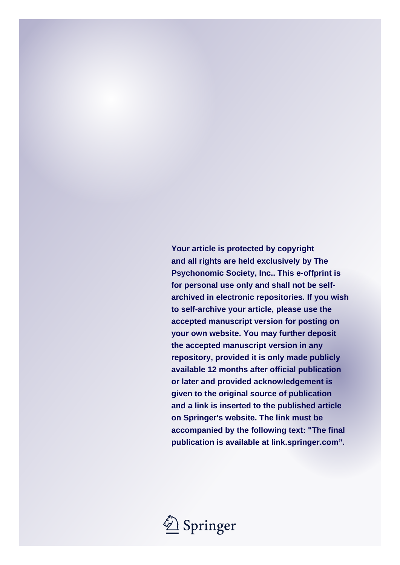**Your article is protected by copyright and all rights are held exclusively by The Psychonomic Society, Inc.. This e-offprint is for personal use only and shall not be selfarchived in electronic repositories. If you wish to self-archive your article, please use the accepted manuscript version for posting on your own website. You may further deposit the accepted manuscript version in any repository, provided it is only made publicly available 12 months after official publication or later and provided acknowledgement is given to the original source of publication and a link is inserted to the published article on Springer's website. The link must be accompanied by the following text: "The final publication is available at link.springer.com".**

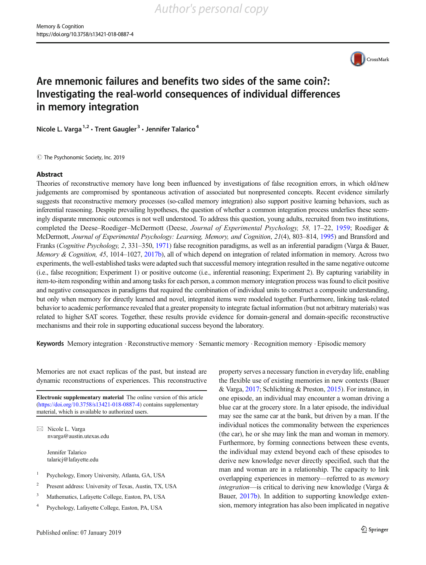

# Are mnemonic failures and benefits two sides of the same coin?: Investigating the real-world consequences of individual differences in memory integration

Nicole L. Varga<sup>1,2</sup> · Trent Gaugler<sup>3</sup> · Jennifer Talarico<sup>4</sup>

 $\circled{c}$  The Psychonomic Society, Inc. 2019

## Abstract

Theories of reconstructive memory have long been influenced by investigations of false recognition errors, in which old/new judgements are compromised by spontaneous activation of associated but nonpresented concepts. Recent evidence similarly suggests that reconstructive memory processes (so-called memory integration) also support positive learning behaviors, such as inferential reasoning. Despite prevailing hypotheses, the question of whether a common integration process underlies these seemingly disparate mnemonic outcomes is not well understood. To address this question, young adults, recruited from two institutions, completed the Deese–Roediger–McDermott (Deese, Journal of Experimental Psychology, 58, 17–22, [1959;](#page-15-0) Roediger & McDermott, Journal of Experimental Psychology: Learning, Memory, and Cognition, 21(4), 803–814, [1995](#page-16-0)) and Bransford and Franks (Cognitive Psychology, 2, 331–350, [1971\)](#page-15-0) false recognition paradigms, as well as an inferential paradigm (Varga & Bauer, Memory & Cognition, 45, 1014–1027, [2017b\)](#page-16-0), all of which depend on integration of related information in memory. Across two experiments, the well-established tasks were adapted such that successful memory integration resulted in the same negative outcome (i.e., false recognition; Experiment 1) or positive outcome (i.e., inferential reasoning; Experiment 2). By capturing variability in item-to-item responding within and among tasks for each person, a common memory integration process was found to elicit positive and negative consequences in paradigms that required the combination of individual units to construct a composite understanding, but only when memory for directly learned and novel, integrated items were modeled together. Furthermore, linking task-related behavior to academic performance revealed that a greater propensity to integrate factual information (but not arbitrary materials) was related to higher SAT scores. Together, these results provide evidence for domain-general and domain-specific reconstructive mechanisms and their role in supporting educational success beyond the laboratory.

Keywords Memory integration . Reconstructive memory . Semantic memory . Recognition memory . Episodic memory

Memories are not exact replicas of the past, but instead are dynamic reconstructions of experiences. This reconstructive

Electronic supplementary material The online version of this article (<https://doi.org/10.3758/s13421-018-0887-4>) contains supplementary material, which is available to authorized users.

 $\boxtimes$  Nicole L. Varga [nvarga@austin.utexas.edu](mailto:nvarga@austin.utexas.edu)

> Jennifer Talarico talaricj@lafayette.edu

- <sup>1</sup> Psychology, Emory University, Atlanta, GA, USA
- <sup>2</sup> Present address: University of Texas, Austin, TX, USA
- <sup>3</sup> Mathematics, Lafayette College, Easton, PA, USA
- <sup>4</sup> Psychology, Lafayette College, Easton, PA, USA

property serves a necessary function in everyday life, enabling the flexible use of existing memories in new contexts (Bauer & Varga, [2017;](#page-15-0) Schlichting & Preston, [2015\)](#page-16-0). For instance, in one episode, an individual may encounter a woman driving a blue car at the grocery store. In a later episode, the individual may see the same car at the bank, but driven by a man. If the individual notices the commonality between the experiences (the car), he or she may link the man and woman in memory. Furthermore, by forming connections between these events, the individual may extend beyond each of these episodes to derive new knowledge never directly specified, such that the man and woman are in a relationship. The capacity to link overlapping experiences in memory—referred to as memory integration—is critical to deriving new knowledge (Varga & Bauer, [2017b\)](#page-16-0). In addition to supporting knowledge extension, memory integration has also been implicated in negative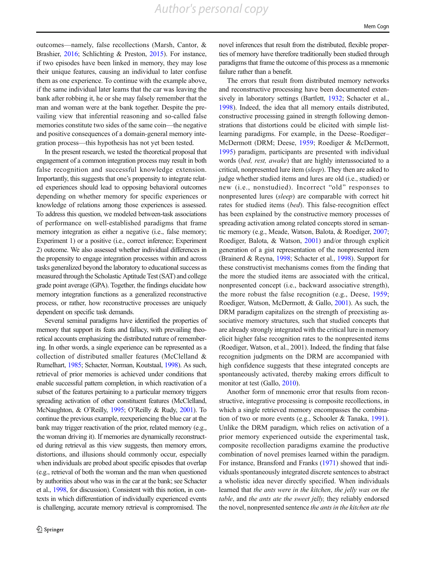outcomes—namely, false recollections (Marsh, Cantor, & Brashier, [2016;](#page-15-0) Schlichting & Preston, [2015\)](#page-16-0). For instance, if two episodes have been linked in memory, they may lose their unique features, causing an individual to later confuse them as one experience. To continue with the example above, if the same individual later learns that the car was leaving the bank after robbing it, he or she may falsely remember that the man and woman were at the bank together. Despite the prevailing view that inferential reasoning and so-called false memories constitute two sides of the same coin—the negative and positive consequences of a domain-general memory integration process—this hypothesis has not yet been tested.

In the present research, we tested the theoretical proposal that engagement of a common integration process may result in both false recognition and successful knowledge extension. Importantly, this suggests that one's propensity to integrate related experiences should lead to opposing behavioral outcomes depending on whether memory for specific experiences or knowledge of relations among those experiences is assessed. To address this question, we modeled between-task associations of performance on well-established paradigms that frame memory integration as either a negative (i.e., false memory; Experiment 1) or a positive (i.e., correct inference; Experiment 2) outcome. We also assessed whether individual differences in the propensity to engage integration processes within and across tasks generalized beyond the laboratory to educational success as measured through the Scholastic Aptitude Test (SAT) and college grade point average (GPA). Together, the findings elucidate how memory integration functions as a generalized reconstructive process, or rather, how reconstructive processes are uniquely dependent on specific task demands.

Several seminal paradigms have identified the properties of memory that support its feats and fallacy, with prevailing theoretical accounts emphasizing the distributed nature of remembering. In other words, a single experience can be represented as a collection of distributed smaller features (McClelland & Rumelhart, [1985;](#page-15-0) Schacter, Norman, Koutstaal, [1998\)](#page-16-0). As such, retrieval of prior memories is achieved under conditions that enable successful pattern completion, in which reactivation of a subset of the features pertaining to a particular memory triggers spreading activation of other constituent features (McClelland, McNaughton, & O'Reilly, [1995](#page-15-0); O'Reilly & Rudy, [2001](#page-15-0)). To continue the previous example, reexperiencing the blue car at the bank may trigger reactivation of the prior, related memory (e.g., the woman driving it). If memories are dynamically reconstructed during retrieval as this view suggests, then memory errors, distortions, and illusions should commonly occur, especially when individuals are probed about specific episodes that overlap (e.g., retrieval of both the woman and the man when questioned by authorities about who was in the car at the bank; see Schacter et al., [1998,](#page-16-0) for discussion). Consistent with this notion, in contexts in which differentiation of individually experienced events is challenging, accurate memory retrieval is compromised. The

novel inferences that result from the distributed, flexible properties of memory have therefore traditionally been studied through paradigms that frame the outcome of this process as a mnemonic failure rather than a benefit.

The errors that result from distributed memory networks and reconstructive processing have been documented extensively in laboratory settings (Bartlett, [1932;](#page-15-0) Schacter et al., [1998\)](#page-16-0). Indeed, the idea that all memory entails distributed, constructive processing gained in strength following demonstrations that distortions could be elicited with simple listlearning paradigms. For example, in the Deese–Roediger– McDermott (DRM; Deese, [1959](#page-15-0); Roediger & McDermott, [1995](#page-16-0)) paradigm, participants are presented with individual words (bed, rest, awake) that are highly interassociated to a critical, nonpresented lure item (sleep). They then are asked to judge whether studied items and lures are old (i.e., studied) or new (i.e., nonstudied). Incorrect "old" responses to nonpresented lures (sleep) are comparable with correct hit rates for studied items (bed). This false-recognition effect has been explained by the constructive memory processes of spreading activation among related concepts stored in semantic memory (e.g., Meade, Watson, Balota, & Roediger, [2007;](#page-15-0) Roediger, Balota, & Watson, [2001\)](#page-16-0) and/or through explicit generation of a gist representation of the nonpresented item (Brainerd & Reyna, [1998;](#page-15-0) Schacter et al., [1998](#page-16-0)). Support for these constructivist mechanisms comes from the finding that the more the studied items are associated with the critical, nonpresented concept (i.e., backward associative strength), the more robust the false recognition (e.g., Deese, [1959;](#page-15-0) Roediger, Watson, McDermott, & Gallo, [2001\)](#page-16-0). As such, the DRM paradigm capitalizes on the strength of preexisting associative memory structures, such that studied concepts that are already strongly integrated with the critical lure in memory elicit higher false recognition rates to the nonpresented items (Roediger, Watson, et al., 2001). Indeed, the finding that false recognition judgments on the DRM are accompanied with high confidence suggests that these integrated concepts are spontaneously activated, thereby making errors difficult to monitor at test (Gallo, [2010](#page-15-0)).

Another form of mnemonic error that results from reconstructive, integrative processing is composite recollections, in which a single retrieved memory encompasses the combination of two or more events (e.g., Schooler & Tanaka, [1991\)](#page-16-0). Unlike the DRM paradigm, which relies on activation of a prior memory experienced outside the experimental task, composite recollection paradigms examine the productive combination of novel premises learned within the paradigm. For instance, Bransford and Franks [\(1971\)](#page-15-0) showed that individuals spontaneously integrated discrete sentences to abstract a wholistic idea never directly specified. When individuals learned that the ants were in the kitchen, the jelly was on the table, and the ants ate the sweet jelly, they reliably endorsed the novel, nonpresented sentence the ants in the kitchen ate the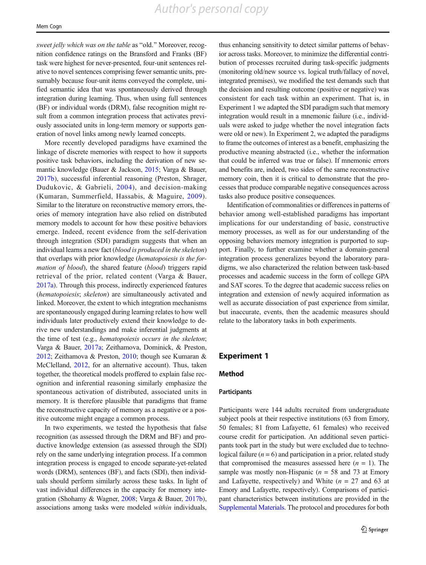sweet jelly which was on the table as "old." Moreover, recognition confidence ratings on the Bransford and Franks (BF) task were highest for never-presented, four-unit sentences relative to novel sentences comprising fewer semantic units, presumably because four-unit items conveyed the complete, unified semantic idea that was spontaneously derived through integration during learning. Thus, when using full sentences (BF) or individual words (DRM), false recognition might result from a common integration process that activates previously associated units in long-term memory or supports generation of novel links among newly learned concepts.

More recently developed paradigms have examined the linkage of discrete memories with respect to how it supports positive task behaviors, including the derivation of new semantic knowledge (Bauer & Jackson, [2015;](#page-15-0) Varga & Bauer, [2017b](#page-16-0)), successful inferential reasoning (Preston, Shrager, Dudukovic, & Gabrieli, [2004\)](#page-16-0), and decision-making (Kumaran, Summerfield, Hassabis, & Maguire, [2009](#page-15-0)). Similar to the literature on reconstructive memory errors, theories of memory integration have also relied on distributed memory models to account for how these positive behaviors emerge. Indeed, recent evidence from the self-derivation through integration (SDI) paradigm suggests that when an individual learns a new fact (blood is produced in the skeleton) that overlaps with prior knowledge (hematopoiesis is the formation of blood), the shared feature (blood) triggers rapid retrieval of the prior, related content (Varga & Bauer, [2017a\)](#page-16-0). Through this process, indirectly experienced features (hematopoiesis; skeleton) are simultaneously activated and linked. Moreover, the extent to which integration mechanisms are spontaneously engaged during learning relates to how well individuals later productively extend their knowledge to derive new understandings and make inferential judgments at the time of test (e.g., hematopoiesis occurs in the skeleton; Varga & Bauer, [2017a;](#page-16-0) Zeithamova, Dominick, & Preston, [2012;](#page-16-0) Zeithamova & Preston, [2010;](#page-16-0) though see Kumaran & McClelland, [2012](#page-15-0), for an alternative account). Thus, taken together, the theoretical models proffered to explain false recognition and inferential reasoning similarly emphasize the spontaneous activation of distributed, associated units in memory. It is therefore plausible that paradigms that frame the reconstructive capacity of memory as a negative or a positive outcome might engage a common process.

In two experiments, we tested the hypothesis that false recognition (as assessed through the DRM and BF) and productive knowledge extension (as assessed through the SDI) rely on the same underlying integration process. If a common integration process is engaged to encode separate-yet-related words (DRM), sentences (BF), and facts (SDI), then individuals should perform similarly across these tasks. In light of vast individual differences in the capacity for memory integration (Shohamy & Wagner, [2008](#page-16-0); Varga & Bauer, [2017b\)](#page-16-0), associations among tasks were modeled within individuals,

thus enhancing sensitivity to detect similar patterns of behavior across tasks. Moreover, to minimize the differential contribution of processes recruited during task-specific judgments (monitoring old/new source vs. logical truth/fallacy of novel, integrated premises), we modified the test demands such that the decision and resulting outcome (positive or negative) was consistent for each task within an experiment. That is, in Experiment 1 we adapted the SDI paradigm such that memory integration would result in a mnemonic failure (i.e., individuals were asked to judge whether the novel integration facts were old or new). In Experiment 2, we adapted the paradigms to frame the outcomes of interest as a benefit, emphasizing the productive meaning abstracted (i.e., whether the information that could be inferred was true or false). If mnemonic errors and benefits are, indeed, two sides of the same reconstructive memory coin, then it is critical to demonstrate that the processes that produce comparable negative consequences across tasks also produce positive consequences.

Identification of commonalities or differences in patterns of behavior among well-established paradigms has important implications for our understanding of basic, constructive memory processes, as well as for our understanding of the opposing behaviors memory integration is purported to support. Finally, to further examine whether a domain-general integration process generalizes beyond the laboratory paradigms, we also characterized the relation between task-based processes and academic success in the form of college GPA and SAT scores. To the degree that academic success relies on integration and extension of newly acquired information as well as accurate dissociation of past experience from similar, but inaccurate, events, then the academic measures should relate to the laboratory tasks in both experiments.

# Experiment 1

# Method

#### **Participants**

Participants were 144 adults recruited from undergraduate subject pools at their respective institutions (63 from Emory, 50 females; 81 from Lafayette, 61 females) who received course credit for participation. An additional seven participants took part in the study but were excluded due to technological failure  $(n = 6)$  and participation in a prior, related study that compromised the measures assessed here  $(n = 1)$ . The sample was mostly non-Hispanic ( $n = 58$  and 73 at Emory and Lafayette, respectively) and White  $(n = 27 \text{ and } 63 \text{ at }$ Emory and Lafayette, respectively). Comparisons of participant characteristics between institutions are provided in the Supplemental Materials. The protocol and procedures for both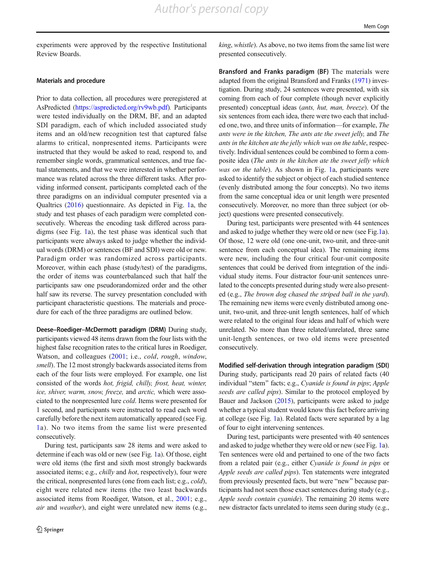experiments were approved by the respective Institutional Review Boards.

#### Materials and procedure

Prior to data collection, all procedures were preregistered at AsPredicted [\(https://aspredicted.org/rv9wb.pdf](https://aspredicted.org/rv9wb.pdf)). Participants were tested individually on the DRM, BF, and an adapted SDI paradigm, each of which included associated study items and an old/new recognition test that captured false alarms to critical, nonpresented items. Participants were instructed that they would be asked to read, respond to, and remember single words, grammatical sentences, and true factual statements, and that we were interested in whether performance was related across the three different tasks. After providing informed consent, participants completed each of the three paradigms on an individual computer presented via a Qualtrics ([2016](#page-16-0)) questionnaire. As depicted in Fig. [1a](#page-6-0), the study and test phases of each paradigm were completed consecutively. Whereas the encoding task differed across paradigms (see Fig. [1a](#page-6-0)), the test phase was identical such that participants were always asked to judge whether the individual words (DRM) or sentences (BF and SDI) were old or new. Paradigm order was randomized across participants. Moreover, within each phase (study/test) of the paradigms, the order of items was counterbalanced such that half the participants saw one pseudorandomized order and the other half saw its reverse. The survey presentation concluded with participant characteristic questions. The materials and procedure for each of the three paradigms are outlined below.

Deese–Roediger–McDermott paradigm (DRM) During study, participants viewed 48 items drawn from the four lists with the highest false recognition rates to the critical lures in Roediger, Watson, and colleagues ([2001](#page-16-0); i.e., *cold, rough, window,* smell). The 12 most strongly backwards associated items from each of the four lists were employed. For example, one list consisted of the words hot, frigid, chilly, frost, heat, winter, ice, shiver, warm, snow, freeze, and arctic, which were associated to the nonpresented lure cold. Items were presented for 1 second, and participants were instructed to read each word carefully before the next item automatically appeared (see Fig. [1](#page-6-0)a). No two items from the same list were presented consecutively.

During test, participants saw 28 items and were asked to determine if each was old or new (see Fig. [1](#page-6-0)a). Of those, eight were old items (the first and sixth most strongly backwards associated items; e.g., chilly and hot, respectively), four were the critical, nonpresented lures (one from each list; e.g., cold), eight were related new items (the two least backwards associated items from Roediger, Watson, et al., [2001](#page-16-0); e.g., air and weather), and eight were unrelated new items (e.g., king, whistle). As above, no two items from the same list were presented consecutively.

Bransford and Franks paradigm (BF) The materials were adapted from the original Bransford and Franks ([1971](#page-15-0)) investigation. During study, 24 sentences were presented, with six coming from each of four complete (though never explicitly presented) conceptual ideas (ants, hut, man, breeze). Of the six sentences from each idea, there were two each that included one, two, and three units of information—for example, The ants were in the kitchen, The ants ate the sweet jelly, and The ants in the kitchen ate the jelly which was on the table, respectively. Individual sentences could be combined to form a composite idea (The ants in the kitchen ate the sweet jelly which was on the table). As shown in Fig. [1a](#page-6-0), participants were asked to identify the subject or object of each studied sentence (evenly distributed among the four concepts). No two items from the same conceptual idea or unit length were presented consecutively. Moreover, no more than three subject (or object) questions were presented consecutively.

During test, participants were presented with 44 sentences and asked to judge whether they were old or new (see Fig[.1](#page-6-0)a). Of those, 12 were old (one one-unit, two-unit, and three-unit sentence from each conceptual idea). The remaining items were new, including the four critical four-unit composite sentences that could be derived from integration of the individual study items. Four distractor four-unit sentences unrelated to the concepts presented during study were also presented (e.g., The brown dog chased the striped ball in the yard). The remaining new items were evenly distributed among oneunit, two-unit, and three-unit length sentences, half of which were related to the original four ideas and half of which were unrelated. No more than three related/unrelated, three same unit-length sentences, or two old items were presented consecutively.

Modified self-derivation through integration paradigm (SDI) During study, participants read 20 pairs of related facts (40 individual "stem" facts; e.g., Cyanide is found in pips; Apple seeds are called pips). Similar to the protocol employed by Bauer and Jackson [\(2015\)](#page-15-0), participants were asked to judge whether a typical student would know this fact before arriving at college (see Fig. [1](#page-6-0)a). Related facts were separated by a lag of four to eight intervening sentences.

During test, participants were presented with 40 sentences and asked to judge whether they were old or new (see Fig. [1](#page-6-0)a). Ten sentences were old and pertained to one of the two facts from a related pair (e.g., either Cyanide is found in pips or Apple seeds are called pips). Ten statements were integrated from previously presented facts, but were "new" because participants had not seen those exact sentences during study (e.g., Apple seeds contain cyanide). The remaining 20 items were new distractor facts unrelated to items seen during study (e.g.,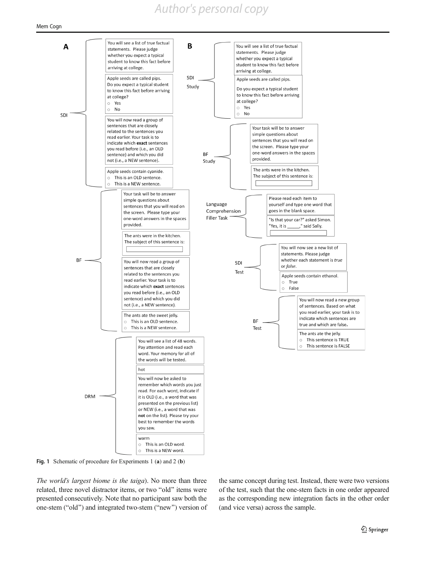# *Author's personal copy*

<span id="page-6-0"></span>

Fig. 1 Schematic of procedure for Experiments 1 (a) and 2 (b)

The world's largest biome is the taiga). No more than three related, three novel distractor items, or two "old" items were presented consecutively. Note that no participant saw both the one-stem ("old") and integrated two-stem ("new") version of

the same concept during test. Instead, there were two versions of the test, such that the one-stem facts in one order appeared as the corresponding new integration facts in the other order (and vice versa) across the sample.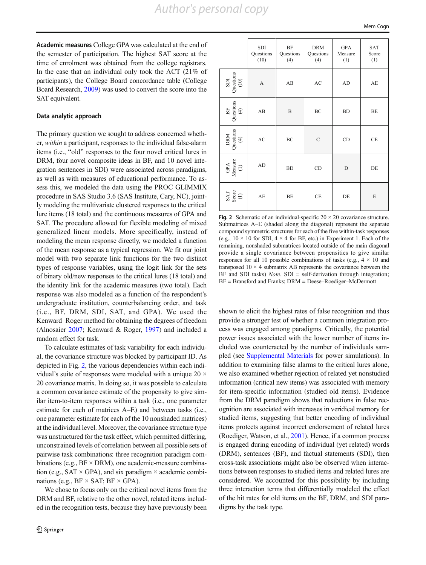SDI

BF

DRM

GPA

SAT Score (1)

Academic measures College GPA was calculated at the end of the semester of participation. The highest SAT score at the time of enrolment was obtained from the college registrars. In the case that an individual only took the ACT (21% of participants), the College Board concordance table (College Board Research, [2009](#page-15-0)) was used to convert the score into the SAT equivalent.

#### Data analytic approach

The primary question we sought to address concerned whether, within a participant, responses to the individual false-alarm items (i.e., "old" responses to the four novel critical lures in DRM, four novel composite ideas in BF, and 10 novel integration sentences in SDI) were associated across paradigms, as well as with measures of educational performance. To assess this, we modeled the data using the PROC GLIMMIX procedure in SAS Studio 3.6 (SAS Institute, Cary, NC), jointly modeling the multivariate clustered responses to the critical lure items (18 total) and the continuous measures of GPA and SAT. The procedure allowed for flexible modeling of mixed generalized linear models. More specifically, instead of modeling the mean response directly, we modeled a function of the mean response as a typical regression. We fit our joint model with two separate link functions for the two distinct types of response variables, using the logit link for the sets of binary old/new responses to the critical lures (18 total) and the identity link for the academic measures (two total). Each response was also modeled as a function of the respondent's undergraduate institution, counterbalancing order, and task (i.e., BF, DRM, SDI, SAT, and GPA). We used the Kenward–Roger method for obtaining the degrees of freedom (Alnosaier [2007;](#page-15-0) Kenward & Roger, [1997\)](#page-15-0) and included a random effect for task.

To calculate estimates of task variability for each individual, the covariance structure was blocked by participant ID. As depicted in Fig. 2, the various dependencies within each individual's suite of responses were modeled with a unique 20  $\times$ 20 covariance matrix. In doing so, it was possible to calculate a common covariance estimate of the propensity to give similar item-to-item responses within a task (i.e., one parameter estimate for each of matrices A–E) and between tasks (i.e., one parameter estimate for each of the 10 nonshaded matrices) at the individual level. Moreover, the covariance structure type was unstructured for the task effect, which permitted differing, unconstrained levels of correlation between all possible sets of pairwise task combinations: three recognition paradigm combinations (e.g.,  $BF \times DRM$ ), one academic-measure combination (e.g.,  $SAT \times GPA$ ), and six paradigm  $\times$  academic combinations (e.g.,  $BF \times SAT$ ;  $BF \times GPA$ ).

We chose to focus only on the critical novel items from the DRM and BF, relative to the other novel, related items included in the recognition tests, because they have previously been

|                     | SDI<br>Questions<br>(10) | BF<br>Questions<br>(4) | <b>DRM</b><br>Questions<br>(4) | <b>GPA</b><br>Measure<br>(1) | <b>SAT</b><br>Score<br>(1) |
|---------------------|--------------------------|------------------------|--------------------------------|------------------------------|----------------------------|
| Questions<br>$(10)$ | A                        | AB                     | $\mathbf{A}\mathbf{C}$         | AD                           | AE                         |
| Questions<br>(4)    | AB                       | B                      | BC                             | <b>BD</b>                    | BE                         |
| Questions<br>(4)    | AC                       | BC                     | $\mathcal{C}$                  | CD                           | CE                         |
| Measure $(1)$       | AD                       | <b>BD</b>              | CD                             | D                            | DE                         |

AE BE CE DE E

Fig. 2 Schematic of an individual-specific  $20 \times 20$  covariance structure. Submatrices A–E (shaded along the diagonal) represent the separate compound symmetric structures for each of the five within-task responses (e.g.,  $10 \times 10$  for SDI,  $4 \times 4$  for BF, etc.) in Experiment 1. Each of the remaining, nonshaded submatrices located outside of the main diagonal provide a single covariance between propensities to give similar responses for all 10 possible combinations of tasks (e.g.,  $4 \times 10$  and transposed  $10 \times 4$  submatrix AB represents the covariance between the BF and SDI tasks) *Note*. SDI = self-derivation through integration; BF = Bransford and Franks; DRM = Deese–Roediger–McDermott

shown to elicit the highest rates of false recognition and thus provide a stronger test of whether a common integration process was engaged among paradigms. Critically, the potential power issues associated with the lower number of items included was counteracted by the number of individuals sampled (see Supplemental Materials for power simulations). In addition to examining false alarms to the critical lures alone, we also examined whether rejection of related yet nonstudied information (critical new items) was associated with memory for item-specific information (studied old items). Evidence from the DRM paradigm shows that reductions in false recognition are associated with increases in veridical memory for studied items, suggesting that better encoding of individual items protects against incorrect endorsement of related lures (Roediger, Watson, et al., [2001](#page-16-0)). Hence, if a common process is engaged during encoding of individual (yet related) words (DRM), sentences (BF), and factual statements (SDI), then cross-task associations might also be observed when interactions between responses to studied items and related lures are considered. We accounted for this possibility by including three interaction terms that differentially modeled the effect of the hit rates for old items on the BF, DRM, and SDI paradigms by the task type.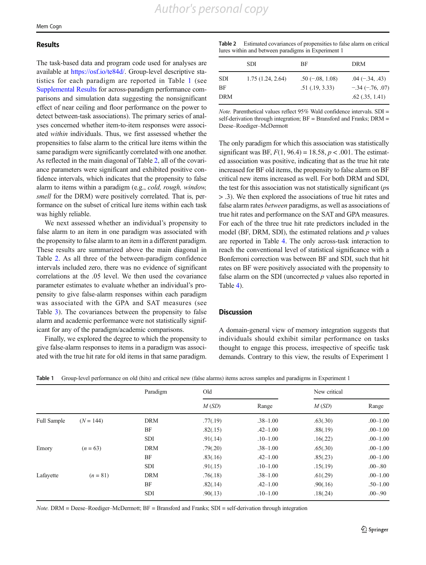#### Results

The task-based data and program code used for analyses are available at <https://osf.io/te84d/>. Group-level descriptive statistics for each paradigm are reported in Table 1 (see Supplemental Results for across-paradigm performance comparisons and simulation data suggesting the nonsignificant effect of near ceiling and floor performance on the power to detect between-task associations). The primary series of analyses concerned whether item-to-item responses were associated within individuals. Thus, we first assessed whether the propensities to false alarm to the critical lure items within the same paradigm were significantly correlated with one another. As reflected in the main diagonal of Table 2, all of the covariance parameters were significant and exhibited positive confidence intervals, which indicates that the propensity to false alarm to items within a paradigm (e.g., cold, rough, window, smell for the DRM) were positively correlated. That is, performance on the subset of critical lure items within each task was highly reliable.

We next assessed whether an individual's propensity to false alarm to an item in one paradigm was associated with the propensity to false alarm to an item in a different paradigm. These results are summarized above the main diagonal in Table 2. As all three of the between-paradigm confidence intervals included zero, there was no evidence of significant correlations at the .05 level. We then used the covariance parameter estimates to evaluate whether an individual's propensity to give false-alarm responses within each paradigm was associated with the GPA and SAT measures (see Table [3\)](#page-9-0). The covariances between the propensity to false alarm and academic performance were not statistically significant for any of the paradigm/academic comparisons.

Finally, we explored the degree to which the propensity to give false-alarm responses to items in a paradigm was associated with the true hit rate for old items in that same paradigm.

| Table 2 Estimated covariances of propensities to false alarm on critical |
|--------------------------------------------------------------------------|
| lures within and between paradigms in Experiment 1                       |

|                  | <b>SDI</b>       | BF                                       | DRM                                                            |
|------------------|------------------|------------------------------------------|----------------------------------------------------------------|
| SDI<br>ВF<br>DRM | 1.75(1.24, 2.64) | $.50(-.08, 1.08)$<br>$.51$ $(.19, 3.33)$ | $.04 (-.34, .43)$<br>$-.34 (-.76, .07)$<br>$.62$ $(.35, 1.41)$ |

Note. Parenthetical values reflect 95% Wald confidence intervals. SDI = self-derivation through integration;  $BF =$  Bransford and Franks;  $DRM =$ Deese–Roediger–McDermott

The only paradigm for which this association was statistically significant was BF,  $F(1, 96.4) = 18.58$ ,  $p < .001$ . The estimated association was positive, indicating that as the true hit rate increased for BF old items, the propensity to false alarm on BF critical new items increased as well. For both DRM and SDI, the test for this association was not statistically significant (ps > .3). We then explored the associations of true hit rates and false alarm rates between paradigms, as well as associations of true hit rates and performance on the SAT and GPA measures. For each of the three true hit rate predictors included in the model (BF, DRM, SDI), the estimated relations and  $p$  values are reported in Table [4.](#page-9-0) The only across-task interaction to reach the conventional level of statistical significance with a Bonferroni correction was between BF and SDI, such that hit rates on BF were positively associated with the propensity to false alarm on the SDI (uncorrected  $p$  values also reported in Table [4](#page-9-0)).

## **Discussion**

A domain-general view of memory integration suggests that individuals should exhibit similar performance on tasks thought to engage this process, irrespective of specific task demands. Contrary to this view, the results of Experiment 1

|                    |             | Paradigm   | Old      |              | New critical |              |
|--------------------|-------------|------------|----------|--------------|--------------|--------------|
|                    |             |            | M(SD)    | Range        | M(SD)        | Range        |
| <b>Full Sample</b> | $(N = 144)$ | <b>DRM</b> | .77(.19) | $.38 - 1.00$ | .63(.30)     | $.00 - 1.00$ |
|                    |             | BF         | .82(.15) | $.42 - 1.00$ | .88(.19)     | $.00 - 1.00$ |
|                    |             | <b>SDI</b> | .91(.14) | $.10 - 1.00$ | .16(.22)     | $.00 - 1.00$ |
| Emory              | $(n = 63)$  | <b>DRM</b> | .79(.20) | $.38 - 1.00$ | .65(.30)     | $.00 - 1.00$ |
|                    |             | BF         | .83(.16) | $.42 - 1.00$ | .85(.23)     | $.00 - 1.00$ |
|                    |             | <b>SDI</b> | .91(.15) | $.10 - 1.00$ | .15(.19)     | $.00 - .80$  |
| Lafayette          | $(n = 81)$  | <b>DRM</b> | .76(.18) | $.38 - 1.00$ | .61(.29)     | $.00 - 1.00$ |
|                    |             | BF         | .82(.14) | $.42 - 1.00$ | .90(.16)     | $.50 - 1.00$ |
|                    |             | <b>SDI</b> | .90(.13) | $.10 - 1.00$ | .18(.24)     | $.00 - .90$  |

Table 1 Group-level performance on old (hits) and critical new (false alarms) items across samples and paradigms in Experiment 1

*Note.* DRM = Deese–Roediger–McDermott;  $BF =$  Bransford and Franks;  $SDI =$  self-derivation through integration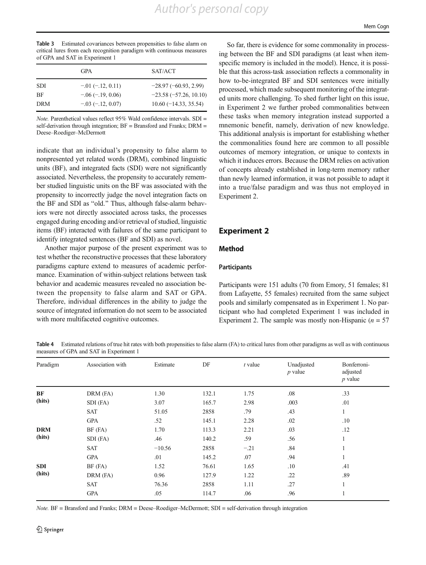<span id="page-9-0"></span>Table 3 Estimated covariances between propensities to false alarm on critical lures from each recognition paradigm with continuous measures of GPA and SAT in Experiment 1

|            | <b>GPA</b>               | SAT/ACT                 |
|------------|--------------------------|-------------------------|
| <b>SDI</b> | $-0.01$ ( $-1.2$ , 0.11) | $-28.97(-60.93, 2.99)$  |
| <b>BF</b>  | $-.06(-.19, 0.06)$       | $-23.58(-57.26, 10.10)$ |
| <b>DRM</b> | $-.03(-.12, 0.07)$       | $10.60(-14.33, 35.54)$  |

Note. Parenthetical values reflect 95% Wald confidence intervals. SDI = self-derivation through integration; BF = Bransford and Franks; DRM = Deese–Roediger–McDermott

indicate that an individual's propensity to false alarm to nonpresented yet related words (DRM), combined linguistic units (BF), and integrated facts (SDI) were not significantly associated. Nevertheless, the propensity to accurately remember studied linguistic units on the BF was associated with the propensity to incorrectly judge the novel integration facts on the BF and SDI as "old." Thus, although false-alarm behaviors were not directly associated across tasks, the processes engaged during encoding and/or retrieval of studied, linguistic items (BF) interacted with failures of the same participant to identify integrated sentences (BF and SDI) as novel.

Another major purpose of the present experiment was to test whether the reconstructive processes that these laboratory paradigms capture extend to measures of academic performance. Examination of within-subject relations between task behavior and academic measures revealed no association between the propensity to false alarm and SAT or GPA. Therefore, individual differences in the ability to judge the source of integrated information do not seem to be associated with more multifaceted cognitive outcomes.

So far, there is evidence for some commonality in processing between the BF and SDI paradigms (at least when itemspecific memory is included in the model). Hence, it is possible that this across-task association reflects a commonality in how to-be-integrated BF and SDI sentences were initially processed, which made subsequent monitoring of the integrated units more challenging. To shed further light on this issue, in Experiment 2 we further probed commonalities between these tasks when memory integration instead supported a mnemonic benefit, namely, derivation of new knowledge. This additional analysis is important for establishing whether the commonalities found here are common to all possible outcomes of memory integration, or unique to contexts in which it induces errors. Because the DRM relies on activation of concepts already established in long-term memory rather than newly learned information, it was not possible to adapt it into a true/false paradigm and was thus not employed in Experiment 2.

# Experiment 2

# Method

#### **Participants**

Participants were 151 adults (70 from Emory, 51 females; 81 from Lafayette, 55 females) recruited from the same subject pools and similarly compensated as in Experiment 1. No participant who had completed Experiment 1 was included in Experiment 2. The sample was mostly non-Hispanic ( $n = 57$ )

Table 4 Estimated relations of true hit rates with both propensities to false alarm (FA) to critical lures from other paradigms as well as with continuous measures of GPA and SAT in Experiment 1

| Paradigm   | Association with | Estimate | DF    | $t$ value | Unadjusted<br>$p$ value | Bonferroni-<br>adjusted<br>$p$ value |
|------------|------------------|----------|-------|-----------|-------------------------|--------------------------------------|
| BF         | DRM (FA)         | 1.30     | 132.1 | 1.75      | .08                     | .33                                  |
| (hits)     | SDI (FA)         | 3.07     | 165.7 | 2.98      | .003                    | .01                                  |
|            | <b>SAT</b>       | 51.05    | 2858  | .79       | .43                     | 1                                    |
|            | <b>GPA</b>       | .52      | 145.1 | 2.28      | .02                     | .10                                  |
| <b>DRM</b> | $BF$ ( $FA$ )    | 1.70     | 113.3 | 2.21      | .03                     | .12                                  |
| (hits)     | SDI (FA)         | .46      | 140.2 | .59       | .56                     |                                      |
|            | <b>SAT</b>       | $-10.56$ | 2858  | $-.21$    | .84                     |                                      |
|            | <b>GPA</b>       | .01      | 145.2 | .07       | .94                     |                                      |
| <b>SDI</b> | BF (FA)          | 1.52     | 76.61 | 1.65      | .10                     | .41                                  |
| (hits)     | $DRM$ (FA)       | 0.96     | 127.9 | 1.22      | .22                     | .89                                  |
|            | <b>SAT</b>       | 76.36    | 2858  | 1.11      | .27                     | $\mathbf{1}$                         |
|            | <b>GPA</b>       | .05      | 114.7 | .06       | .96                     |                                      |

Note. BF = Bransford and Franks; DRM = Deese–Roediger–McDermott; SDI = self-derivation through integration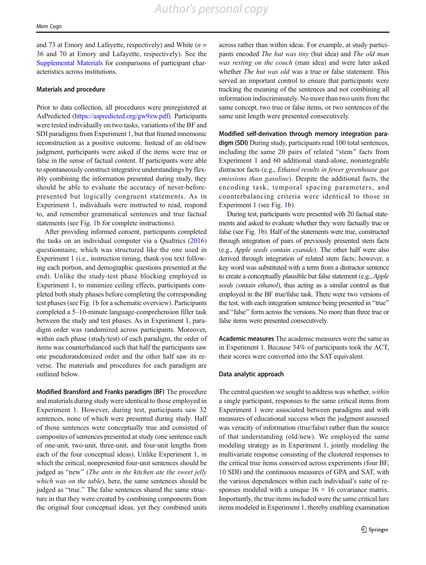and 73 at Emory and Lafayette, respectively) and White  $(n =$ 36 and 70 at Emory and Lafayette, respectively). See the Supplemental Materials for comparisons of participant characteristics across institutions.

#### Materials and procedure

Prior to data collection, all procedures were preregistered at AsPredicted [\(https://aspredicted.org/gw9zw.pdf](https://aspredicted.org/gw9zw.pdf)). Participants were tested individually on two tasks, variations of the BF and SDI paradigms from Experiment 1, but that framed mnemonic reconstruction as a positive outcome. Instead of an old/new judgment, participants were asked if the items were true or false in the sense of factual content. If participants were able to spontaneously construct integrative understandings by flexibly combining the information presented during study, they should be able to evaluate the accuracy of never-beforepresented but logically congruent statements. As in Experiment 1, individuals were instructed to read, respond to, and remember grammatical sentences and true factual statements (see Fig. [1](#page-6-0)b for complete instructions).

After providing informed consent, participants completed the tasks on an individual computer via a Qualtrics [\(2016\)](#page-16-0) questionnaire, which was structured like the one used in Experiment 1 (i.e., instruction timing, thank-you text following each portion, and demographic questions presented at the end). Unlike the study-test phase blocking employed in Experiment 1, to minimize ceiling effects, participants completed both study phases before completing the corresponding test phases (see Fig. [1b](#page-6-0) for a schematic overview). Participants completed a 5–10-minute language-comprehension filler task between the study and test phases. As in Experiment 1, paradigm order was randomized across participants. Moreover, within each phase (study/test) of each paradigm, the order of items was counterbalanced such that half the participants saw one pseudorandomized order and the other half saw its reverse. The materials and procedures for each paradigm are outlined below.

Modified Bransford and Franks paradigm (BF) The procedure and materials during study were identical to those employed in Experiment 1. However, during test, participants saw 32 sentences, none of which were presented during study. Half of those sentences were conceptually true and consisted of composites of sentences presented at study (one sentence each of one-unit, two-unit, three-unit, and four-unit lengths from each of the four conceptual ideas). Unlike Experiment 1, in which the critical, nonpresented four-unit sentences should be judged as "new" (The ants in the kitchen ate the sweet jelly which was on the table), here, the same sentences should be judged as "true." The false sentences shared the same structure in that they were created by combining components from the original four conceptual ideas, yet they combined units

across rather than within ideas. For example, at study participants encoded The hut was tiny (hut idea) and The old man was resting on the couch (man idea) and were later asked whether *The hut was old* was a true or false statement. This served an important control to ensure that participants were tracking the meaning of the sentences and not combining all information indiscriminately. No more than two units from the same concept, two true or false items, or two sentences of the same unit length were presented consecutively.

Modified self-derivation through memory integration paradigm (SDI) During study, participants read 100 total sentences, including the same 20 pairs of related "stem" facts from Experiment 1 and 60 additional stand-alone, nonintegrable distractor facts (e.g., Ethanol results in fewer greenhouse gas emissions than gasoline). Despite the additional facts, the encoding task, temporal spacing parameters, and counterbalancing criteria were identical to those in Experiment 1 (see Fig. [1](#page-6-0)b).

During test, participants were presented with 20 factual statements and asked to evaluate whether they were factually true or false (see Fig. [1](#page-6-0)b). Half of the statements were true, constructed through integration of pairs of previously presented stem facts (e.g., Apple seeds contain cyanide). The other half were also derived through integration of related stem facts; however, a key word was substituted with a term from a distractor sentence to create a conceptually plausible but false statement (e.g., Apple seeds contain ethanol), thus acting as a similar control as that employed in the BF true/false task. There were two versions of the test, with each integration sentence being presented in "true" and "false" form across the versions. No more than three true or false items were presented consecutively.

Academic measures The academic measures were the same as in Experiment 1. Because 34% of participants took the ACT, their scores were converted into the SAT equivalent.

#### Data analytic approach

The central question we sought to address was whether, within a single participant, responses to the same critical items from Experiment 1 were associated between paradigms and with measures of educational success when the judgment assessed was veracity of information (true/false) rather than the source of that understanding (old/new). We employed the same modeling strategy as in Experiment 1, jointly modeling the multivariate response consisting of the clustered responses to the critical true items conserved across experiments (four BF, 10 SDI) and the continuous measures of GPA and SAT, with the various dependences within each individual's suite of responses modeled with a unique  $16 \times 16$  covariance matrix. Importantly, the true items included were the same critical lure items modeled in Experiment 1, thereby enabling examination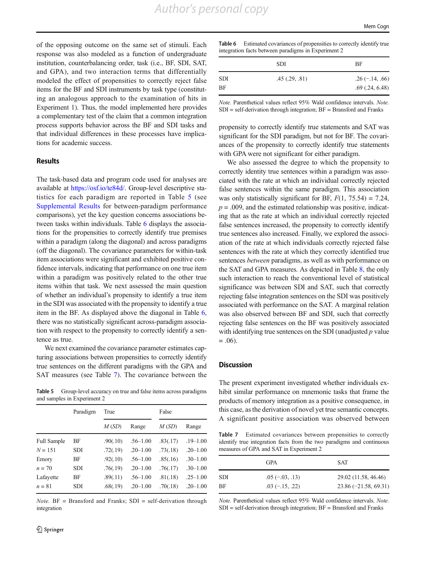of the opposing outcome on the same set of stimuli. Each response was also modeled as a function of undergraduate institution, counterbalancing order, task (i.e., BF, SDI, SAT, and GPA), and two interaction terms that differentially modeled the effect of propensities to correctly reject false items for the BF and SDI instruments by task type (constituting an analogous approach to the examination of hits in Experiment 1). Thus, the model implemented here provides a complementary test of the claim that a common integration process supports behavior across the BF and SDI tasks and that individual differences in these processes have implications for academic success.

## Results

The task-based data and program code used for analyses are available at <https://osf.io/te84d/>. Group-level descriptive statistics for each paradigm are reported in Table 5 (see Supplemental Results for between-paradigm performance comparisons), yet the key question concerns associations between tasks within individuals. Table 6 displays the associations for the propensities to correctly identify true premises within a paradigm (along the diagonal) and across paradigms (off the diagonal). The covariance parameters for within-task item associations were significant and exhibited positive confidence intervals, indicating that performance on one true item within a paradigm was positively related to the other true items within that task. We next assessed the main question of whether an individual's propensity to identify a true item in the SDI was associated with the propensity to identify a true item in the BF. As displayed above the diagonal in Table 6, there was no statistically significant across-paradigm association with respect to the propensity to correctly identify a sentence as true.

We next examined the covariance parameter estimates capturing associations between propensities to correctly identify true sentences on the different paradigms with the GPA and SAT measures (see Table 7). The covariance between the

Table 5 Group-level accuracy on true and false items across paradigms and samples in Experiment 2

|                    | Paradigm   | True     |              | False    |              |  |
|--------------------|------------|----------|--------------|----------|--------------|--|
|                    |            | M(SD)    | Range        | M(SD)    | Range        |  |
| <b>Full Sample</b> | BF         | .90(.10) | $.56 - 1.00$ | .83(.17) | $.19 - 1.00$ |  |
| $N = 151$          | <b>SDI</b> | .72(.19) | $.20 - 1.00$ | .73(.18) | $.20 - 1.00$ |  |
| Emory              | ВF         | .92(.10) | $.56 - 1.00$ | .85(.16) | $.30 - 1.00$ |  |
| $n = 70$           | <b>SDI</b> | .76(.19) | $.20 - 1.00$ | .76(.17) | $.30 - 1.00$ |  |
| Lafayette          | BF         | .89(.11) | $.56 - 1.00$ | .81(.18) | $.25 - 1.00$ |  |
| $n = 81$           | <b>SDI</b> | .68(.19) | $.20 - 1.00$ | .70(.18) | $.20 - 1.00$ |  |

 $Note. BF = Bransford and Franks; SDI = self-derivation through$ integration

Table 6 Estimated covariances of propensities to correctly identify true integration facts between paradigms in Experiment 2

|     | <b>SDI</b>   | BF                  |
|-----|--------------|---------------------|
| SDI | .45(.29,.81) | $.26(-.14, .66)$    |
| ВF  |              | $.69$ $(.24, 6.48)$ |

Note. Parenthetical values reflect 95% Wald confidence intervals. Note.  $SDI = self-derivation$  through integration;  $BF =$  Bransford and Franks

propensity to correctly identify true statements and SAT was significant for the SDI paradigm, but not for BF. The covariances of the propensity to correctly identify true statements with GPA were not significant for either paradigm.

We also assessed the degree to which the propensity to correctly identity true sentences within a paradigm was associated with the rate at which an individual correctly rejected false sentences within the same paradigm. This association was only statistically significant for BF,  $F(1, 75.54) = 7.24$ ,  $p = .009$ , and the estimated relationship was positive, indicating that as the rate at which an individual correctly rejected false sentences increased, the propensity to correctly identify true sentences also increased. Finally, we explored the association of the rate at which individuals correctly rejected false sentences with the rate at which they correctly identified true sentences between paradigms, as well as with performance on the SAT and GPA measures. As depicted in Table [8](#page-12-0), the only such interaction to reach the conventional level of statistical significance was between SDI and SAT, such that correctly rejecting false integration sentences on the SDI was positively associated with performance on the SAT. A marginal relation was also observed between BF and SDI, such that correctly rejecting false sentences on the BF was positively associated with identifying true sentences on the SDI (unadjusted  $p$  value  $= .06$ ).

#### **Discussion**

The present experiment investigated whether individuals exhibit similar performance on mnemonic tasks that frame the products of memory integration as a positive consequence, in this case, as the derivation of novel yet true semantic concepts. A significant positive association was observed between

Table 7 Estimated covariances between propensities to correctly identify true integration facts from the two paradigms and continuous measures of GPA and SAT in Experiment 2

|     | <b>GPA</b>       | <b>SAT</b>              |
|-----|------------------|-------------------------|
| SDI | $.05(-.03, .13)$ | 29.02 (11.58, 46.46)    |
| ВF  | $.03(-.15, .22)$ | $23.86 (-21.58, 69.31)$ |

Note. Parenthetical values reflect 95% Wald confidence intervals. Note.  $SDI = self-derivation through integration; BF = Bransford and Franks$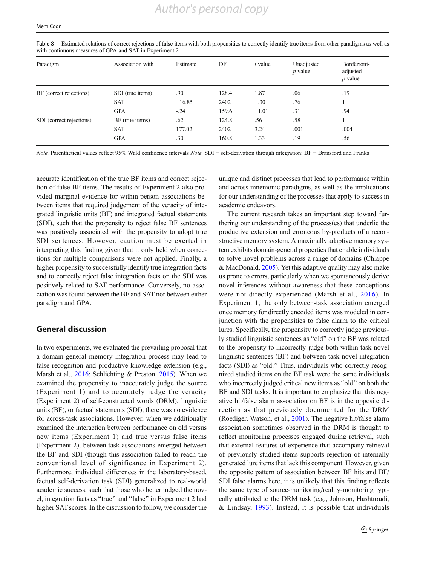| Paradigm                 | Association with | Estimate | DF    | $t$ value | Unadjusted<br>$p$ value | Bonferroni-<br>adjusted<br>$p$ value |
|--------------------------|------------------|----------|-------|-----------|-------------------------|--------------------------------------|
| BF (correct rejections)  | SDI (true items) | .90      | 128.4 | 1.87      | .06                     | .19                                  |
|                          | SAT              | $-16.85$ | 2402  | $-.30$    | .76                     |                                      |
|                          | <b>GPA</b>       | $-.24$   | 159.6 | $-1.01$   | .31                     | .94                                  |
| SDI (correct rejections) | BF (true items)  | .62      | 124.8 | .56       | .58                     |                                      |
|                          | <b>SAT</b>       | 177.02   | 2402  | 3.24      | .001                    | .004                                 |
|                          | <b>GPA</b>       | .30      | 160.8 | 1.33      | .19                     | .56                                  |

<span id="page-12-0"></span>Table 8 Estimated relations of correct rejections of false items with both propensities to correctly identify true items from other paradigms as well as with continuous measures of GPA and SAT in Experiment 2

Note. Parenthetical values reflect 95% Wald confidence intervals Note. SDI = self-derivation through integration; BF = Bransford and Franks

accurate identification of the true BF items and correct rejection of false BF items. The results of Experiment 2 also provided marginal evidence for within-person associations between items that required judgement of the veracity of integrated linguistic units (BF) and integrated factual statements (SDI), such that the propensity to reject false BF sentences was positively associated with the propensity to adopt true SDI sentences. However, caution must be exerted in interpreting this finding given that it only held when corrections for multiple comparisons were not applied. Finally, a higher propensity to successfully identify true integration facts and to correctly reject false integration facts on the SDI was positively related to SAT performance. Conversely, no association was found between the BF and SAT nor between either paradigm and GPA.

# General discussion

In two experiments, we evaluated the prevailing proposal that a domain-general memory integration process may lead to false recognition and productive knowledge extension (e.g., Marsh et al., [2016;](#page-15-0) Schlichting & Preston, [2015](#page-16-0)). When we examined the propensity to inaccurately judge the source (Experiment 1) and to accurately judge the veracity (Experiment 2) of self-constructed words (DRM), linguistic units (BF), or factual statements (SDI), there was no evidence for across-task associations. However, when we additionally examined the interaction between performance on old versus new items (Experiment 1) and true versus false items (Experiment 2), between-task associations emerged between the BF and SDI (though this association failed to reach the conventional level of significance in Experiment 2). Furthermore, individual differences in the laboratory-based, factual self-derivation task (SDI) generalized to real-world academic success, such that those who better judged the novel, integration facts as "true" and "false" in Experiment 2 had higher SAT scores. In the discussion to follow, we consider the unique and distinct processes that lead to performance within and across mnemonic paradigms, as well as the implications for our understanding of the processes that apply to success in academic endeavors.

The current research takes an important step toward furthering our understanding of the process(es) that underlie the productive extension and erroneous by-products of a reconstructive memory system. A maximally adaptive memory system exhibits domain-general properties that enable individuals to solve novel problems across a range of domains (Chiappe & MacDonald, [2005](#page-15-0)). Yet this adaptive quality may also make us prone to errors, particularly when we spontaneously derive novel inferences without awareness that these conceptions were not directly experienced (Marsh et al., [2016](#page-15-0)). In Experiment 1, the only between-task association emerged once memory for directly encoded items was modeled in conjunction with the propensities to false alarm to the critical lures. Specifically, the propensity to correctly judge previously studied linguistic sentences as "old" on the BF was related to the propensity to incorrectly judge both within-task novel linguistic sentences (BF) and between-task novel integration facts (SDI) as "old." Thus, individuals who correctly recognized studied items on the BF task were the same individuals who incorrectly judged critical new items as "old" on both the BF and SDI tasks. It is important to emphasize that this negative hit/false alarm association on BF is in the opposite direction as that previously documented for the DRM (Roediger, Watson, et al., [2001](#page-16-0)). The negative hit/false alarm association sometimes observed in the DRM is thought to reflect monitoring processes engaged during retrieval, such that external features of experience that accompany retrieval of previously studied items supports rejection of internally generated lure items that lack this component. However, given the opposite pattern of association between BF hits and BF/ SDI false alarms here, it is unlikely that this finding reflects the same type of source-monitoring/reality-monitoring typically attributed to the DRM task (e.g., Johnson, Hashtroudi, & Lindsay, [1993\)](#page-15-0). Instead, it is possible that individuals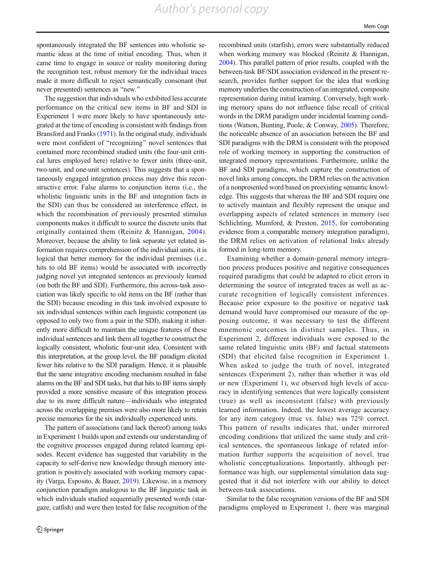*Author's personal copy*

spontaneously integrated the BF sentences into wholistic semantic ideas at the time of initial encoding. Thus, when it came time to engage in source or reality monitoring during the recognition test, robust memory for the individual traces made it more difficult to reject semantically consonant (but never presented) sentences as "new."

The suggestion that individuals who exhibited less accurate performance on the critical new items in BF and SDI in Experiment 1 were more likely to have spontaneously integrated at the time of encoding is consistent with findings from Bransford and Franks [\(1971\)](#page-15-0). In the original study, individuals were most confident of "recognizing" novel sentences that contained more recombined studied units (the four-unit critical lures employed here) relative to fewer units (three-unit, two-unit, and one-unit sentences). This suggests that a spontaneously engaged integration process may drive this reconstructive error. False alarms to conjunction items (i.e., the wholistic linguistic units in the BF and integration facts in the SDI) can thus be considered an interference effect, in which the recombination of previously presented stimulus components makes it difficult to source the discrete units that originally contained them (Reinitz & Hannigan, [2004](#page-16-0)). Moreover, because the ability to link separate yet related information requires comprehension of the individual units, it is logical that better memory for the individual premises (i.e., hits to old BF items) would be associated with incorrectly judging novel yet integrated sentences as previously learned (on both the BF and SDI). Furthermore, this across-task association was likely specific to old items on the BF (rather than the SDI) because encoding in this task involved exposure to six individual sentences within each linguistic component (as opposed to only two from a pair in the SDI), making it inherently more difficult to maintain the unique features of these individual sentences and link them all together to construct the logically consistent, wholistic four-unit idea. Consistent with this interpretation, at the group level, the BF paradigm elicited fewer hits relative to the SDI paradigm. Hence, it is plausible that the same integrative encoding mechanism resulted in false alarms on the BF and SDI tasks, but that hits to BF items simply provided a more sensitive measure of this integration process due to its more difficult nature—individuals who integrated across the overlapping premises were also more likely to retain precise memories for the six individually experienced units.

The pattern of associations (and lack thereof) among tasks in Experiment 1 builds upon and extends our understanding of the cognitive processes engaged during related learning episodes. Recent evidence has suggested that variability in the capacity to self-derive new knowledge through memory integration is positively associated with working memory capacity (Varga, Esposito, & Bauer, [2019\)](#page-16-0). Likewise, in a memory conjunction paradigm analogous to the BF linguistic task in which individuals studied sequentially presented words (stargaze, catfish) and were then tested for false recognition of the recombined units (starfish), errors were substantially reduced when working memory was blocked (Reinitz & Hannigan, [2004\)](#page-16-0). This parallel pattern of prior results, coupled with the between-task BF/SDI association evidenced in the present research, provides further support for the idea that working memory underlies the construction of an integrated, composite representation during initial learning. Conversely, high working memory spans do not influence false recall of critical words in the DRM paradigm under incidental learning conditions (Watson, Bunting, Poole, & Conway, [2005\)](#page-16-0). Therefore, the noticeable absence of an association between the BF and SDI paradigms with the DRM is consistent with the proposed role of working memory in supporting the construction of integrated memory representations. Furthermore, unlike the BF and SDI paradigms, which capture the construction of novel links among concepts, the DRM relies on the activation of a nonpresented word based on preexisting semantic knowledge. This suggests that whereas the BF and SDI require one to actively maintain and flexibly represent the unique and overlapping aspects of related sentences in memory (see Schlichting, Mumford, & Preston, [2015](#page-16-0), for corroborating evidence from a comparable memory integration paradigm), the DRM relies on activation of relational links already formed in long-term memory.

Examining whether a domain-general memory integration process produces positive and negative consequences required paradigms that could be adapted to elicit errors in determining the source of integrated traces as well as accurate recognition of logically consistent inferences. Because prior exposure to the positive or negative task demand would have compromised our measure of the opposing outcome, it was necessary to test the different mnemonic outcomes in distinct samples. Thus, in Experiment 2, different individuals were exposed to the same related linguistic units (BF) and factual statements (SDI) that elicited false recognition in Experiment 1. When asked to judge the truth of novel, integrated sentences (Experiment 2), rather than whether it was old or new (Experiment 1), we observed high levels of accuracy in identifying sentences that were logically consistent (true) as well as inconsistent (false) with previously learned information. Indeed, the lowest average accuracy for any item category (true vs. false) was 72% correct. This pattern of results indicates that, under mirrored encoding conditions that utilized the same study and critical sentences, the spontaneous linkage of related information further supports the acquisition of novel, true wholistic conceptualizations. Importantly, although performance was high, our supplemental simulation data suggested that it did not interfere with our ability to detect between-task associations.

Similar to the false recognition versions of the BF and SDI paradigms employed in Experiment 1, there was marginal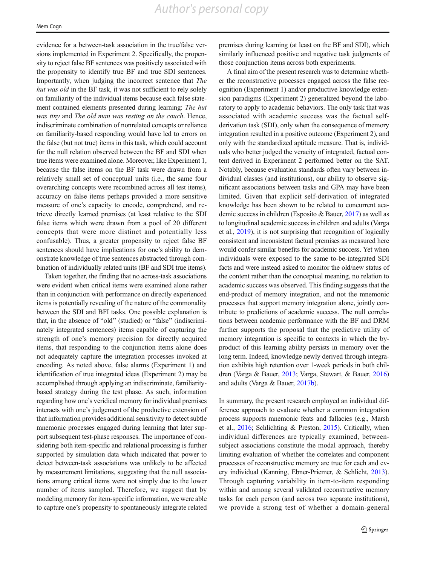evidence for a between-task association in the true/false versions implemented in Experiment 2. Specifically, the propensity to reject false BF sentences was positively associated with the propensity to identify true BF and true SDI sentences. Importantly, when judging the incorrect sentence that The hut was old in the BF task, it was not sufficient to rely solely on familiarity of the individual items because each false statement contained elements presented during learning: The hut was tiny and The old man was resting on the couch. Hence, indiscriminate combination of nonrelated concepts or reliance on familiarity-based responding would have led to errors on the false (but not true) items in this task, which could account for the null relation observed between the BF and SDI when true items were examined alone. Moreover, like Experiment 1, because the false items on the BF task were drawn from a relatively small set of conceptual units (i.e., the same four overarching concepts were recombined across all test items), accuracy on false items perhaps provided a more sensitive measure of one's capacity to encode, comprehend, and retrieve directly learned premises (at least relative to the SDI false items which were drawn from a pool of 20 different concepts that were more distinct and potentially less confusable). Thus, a greater propensity to reject false BF sentences should have implications for one's ability to demonstrate knowledge of true sentences abstracted through combination of individually related units (BF and SDI true items).

Taken together, the finding that no across-task associations were evident when critical items were examined alone rather than in conjunction with performance on directly experienced items is potentially revealing of the nature of the commonality between the SDI and BFI tasks. One possible explanation is that, in the absence of "old" (studied) or "false" (indiscriminately integrated sentences) items capable of capturing the strength of one's memory precision for directly acquired items, that responding to the conjunction items alone does not adequately capture the integration processes invoked at encoding. As noted above, false alarms (Experiment 1) and identification of true integrated ideas (Experiment 2) may be accomplished through applying an indiscriminate, familiaritybased strategy during the test phase. As such, information regarding how one's veridical memory for individual premises interacts with one's judgement of the productive extension of that information provides additional sensitivity to detect subtle mnemonic processes engaged during learning that later support subsequent test-phase responses. The importance of considering both item-specific and relational processing is further supported by simulation data which indicated that power to detect between-task associations was unlikely to be affected by measurement limitations, suggesting that the null associations among critical items were not simply due to the lower number of items sampled. Therefore, we suggest that by modeling memory for item-specific information, we were able to capture one's propensity to spontaneously integrate related

premises during learning (at least on the BF and SDI), which similarly influenced positive and negative task judgments of those conjunction items across both experiments.

A final aim of the present research was to determine whether the reconstructive processes engaged across the false recognition (Experiment 1) and/or productive knowledge extension paradigms (Experiment 2) generalized beyond the laboratory to apply to academic behaviors. The only task that was associated with academic success was the factual selfderivation task (SDI), only when the consequence of memory integration resulted in a positive outcome (Experiment 2), and only with the standardized aptitude measure. That is, individuals who better judged the veracity of integrated, factual content derived in Experiment 2 performed better on the SAT. Notably, because evaluation standards often vary between individual classes (and institutions), our ability to observe significant associations between tasks and GPA may have been limited. Given that explicit self-derivation of integrated knowledge has been shown to be related to concurrent academic success in children (Esposito & Bauer, [2017\)](#page-15-0) as well as to longitudinal academic success in children and adults (Varga et al., [2019\)](#page-16-0), it is not surprising that recognition of logically consistent and inconsistent factual premises as measured here would confer similar benefits for academic success. Yet when individuals were exposed to the same to-be-integrated SDI facts and were instead asked to monitor the old/new status of the content rather than the conceptual meaning, no relation to academic success was observed. This finding suggests that the end-product of memory integration, and not the mnemonic processes that support memory integration alone, jointly contribute to predictions of academic success. The null correlations between academic performance with the BF and DRM further supports the proposal that the predictive utility of memory integration is specific to contexts in which the byproduct of this learning ability persists in memory over the long term. Indeed, knowledge newly derived through integration exhibits high retention over 1-week periods in both children (Varga & Bauer, [2013;](#page-16-0) Varga, Stewart, & Bauer, [2016](#page-16-0)) and adults (Varga & Bauer, [2017b](#page-16-0)).

In summary, the present research employed an individual difference approach to evaluate whether a common integration process supports mnemonic feats and fallacies (e.g., Marsh et al., [2016;](#page-15-0) Schlichting & Preston, [2015\)](#page-16-0). Critically, when individual differences are typically examined, betweensubject associations constitute the modal approach, thereby limiting evaluation of whether the correlates and component processes of reconstructive memory are true for each and every individual (Kanning, Ebner-Priemer, & Schlicht, [2013\)](#page-15-0). Through capturing variability in item-to-item responding within and among several validated reconstructive memory tasks for each person (and across two separate institutions), we provide a strong test of whether a domain-general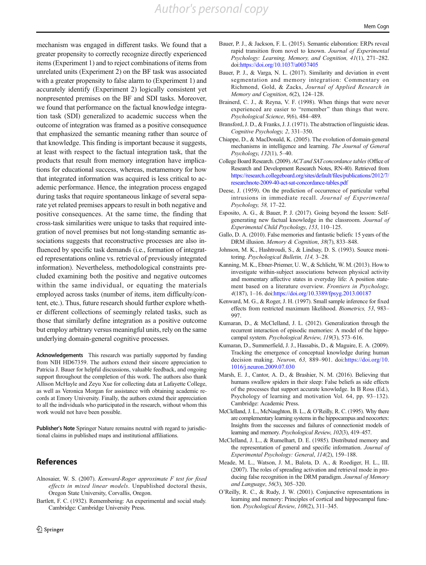<span id="page-15-0"></span>mechanism was engaged in different tasks. We found that a greater propensity to correctly recognize directly experienced items (Experiment 1) and to reject combinations of items from unrelated units (Experiment 2) on the BF task was associated with a greater propensity to false alarm to (Experiment 1) and accurately identify (Experiment 2) logically consistent yet nonpresented premises on the BF and SDI tasks. Moreover, we found that performance on the factual knowledge integration task (SDI) generalized to academic success when the outcome of integration was framed as a positive consequence that emphasized the semantic meaning rather than source of that knowledge. This finding is important because it suggests, at least with respect to the factual integration task, that the products that result from memory integration have implications for educational success, whereas, metamemory for how that integrated information was acquired is less critical to academic performance. Hence, the integration process engaged during tasks that require spontaneous linkage of several separate yet related premises appears to result in both negative and positive consequences. At the same time, the finding that cross-task similarities were unique to tasks that required integration of novel premises but not long-standing semantic associations suggests that reconstructive processes are also influenced by specific task demands (i.e., formation of integrated representations online vs. retrieval of previously integrated information). Nevertheless, methodological constraints precluded examining both the positive and negative outcomes within the same individual, or equating the materials employed across tasks (number of items, item difficulty/content, etc.). Thus, future research should further explore whether different collections of seemingly related tasks, such as those that similarly define integration as a positive outcome but employ arbitrary versus meaningful units, rely on the same underlying domain-general cognitive processes.

Acknowledgements This research was partially supported by funding from NIH HD67359. The authors extend their sincere appreciation to Patricia J. Bauer for helpful discussions, valuable feedback, and ongoing support throughout the completion of this work. The authors also thank Allison McHayle and Zeyu Xue for collecting data at Lafayette College, as well as Veronica Morgan for assistance with obtaining academic records at Emory University. Finally, the authors extend their appreciation to all the individuals who participated in the research, without whom this work would not have been possible.

Publisher's Note Springer Nature remains neutral with regard to jurisdictional claims in published maps and institutional affiliations.

# References

- Alnosaier, W. S. (2007). Kenward-Roger approximate F test for fixed effects in mixed linear models. Unpublished doctoral thesis, Oregon State University, Corvallis, Oregon.
- Bartlett, F. C. (1932). Remembering: An experimental and social study. Cambridge: Cambridge University Press.
- Bauer, P. J., & Jackson, F. L. (2015). Semantic elaboration: ERPs reveal rapid transition from novel to known. Journal of Experimental Psychology: Learning, Memory, and Cognition, 41(1), 271–282. doi:<https://doi.org/10.1037/a0037405>
- Bauer, P. J., & Varga, N. L. (2017). Similarity and deviation in event segmentation and memory integration: Commentary on Richmond, Gold, & Zacks, Journal of Applied Research in Memory and Cognition, 6(2), 124-128.
- Brainerd, C. J., & Reyna, V. F. (1998). When things that were never experienced are easier to "remember" than things that were. Psychological Science, 9(6), 484–489.
- Bransford, J. D., & Franks, J. J. (1971). The abstraction of linguistic ideas. Cognitive Psychology, 2, 331–350.
- Chiappe, D., & MacDonald, K. (2005). The evolution of domain-general mechanisms in intelligence and learning. The Journal of General Psychology, 132(1), 5–40.
- College Board Research. (2009). ACT and SAT concordance tables (Office of Research and Development Research Notes, RN-40). Retrieved from [https://research.collegeboard.org/sites/default/files/publications/2012/7/](https://research.collegeboard.org/sites/default/files/publications/2012/7/researchnote-2009-40-act-sat-concordance-tables.pdf) [researchnote-2009-40-act-sat-concordance-tables.pdf](https://research.collegeboard.org/sites/default/files/publications/2012/7/researchnote-2009-40-act-sat-concordance-tables.pdf)
- Deese, J. (1959). On the prediction of occurrence of particular verbal intrusions in immediate recall. Journal of Experimental Psychology, 58, 17–22.
- Esposito, A. G., & Bauer, P. J. (2017). Going beyond the lesson: Selfgenerating new factual knowledge in the classroom. Journal of Experimental Child Psychology, 153, 110–125.
- Gallo, D. A. (2010). False memories and fantastic beliefs: 15 years of the DRM illusion. Memory & Cognition, 38(7), 833-848.
- Johnson, M. K., Hashtroudi, S., & Lindsay, D. S. (1993). Source monitoring. Psychological Bulletin, 114, 3–28.
- Kanning, M. K., Ebner-Priemer, U. W., & Schlicht, W. M. (2013). How to investigate within-subject associations between physical activity and momentary affective states in everyday life: A position statement based on a literature overview. Frontiers in Psychology, 4(187), 1–16. doi:<https://doi.org/10.3389/fpsyg.2013.00187>
- Kenward, M. G., & Roger, J. H. (1997). Small sample inference for fixed effects from restricted maximum likelihood. Biometrics, 53, 983– 997.
- Kumaran, D., & McClelland, J. L. (2012). Generalization through the recurrent interaction of episodic memories: A model of the hippocampal system. Psychological Review, 119(3), 573–616.
- Kumaran, D., Summerfield, J. J., Hassabis, D., & Maguire, E. A. (2009). Tracking the emergence of conceptual knowledge during human decision making. Neuron, 63, 889–901. doi:[https://doi.org/10.](https://doi.org/10.1016/j.neuron.2009.07.030) [1016/j.neuron.2009.07.030](https://doi.org/10.1016/j.neuron.2009.07.030)
- Marsh, E. J., Cantor, A. D., & Brashier, N. M. (2016). Believing that humans swallow spiders in their sleep: False beliefs as side effects of the processes that support accurate knowledge. In B Ross (Ed.), Psychology of learning and motivation Vol. 64, pp. 93–132). Cambridge: Academic Press.
- McClelland, J. L., McNaughton, B. L., & O'Reilly, R. C. (1995). Why there are complementary learning systems in the hippocampus and neocortex: Insights from the successes and failures of connectionist models of learning and memory. Psychological Review, 102(3), 419–457.
- McClelland, J. L., & Rumelhart, D. E. (1985). Distributed memory and the representation of general and specific information. Journal of Experimental Psychology: General, 114(2), 159–188.
- Meade, M. L., Watson, J. M., Balota, D. A., & Roediger, H. L., III. (2007). The roles of spreading activation and retrieval mode in producing false recognition in the DRM paradigm. Journal of Memory and Language, 56(3), 305–320.
- O'Reilly, R. C., & Rudy, J. W. (2001). Conjunctive representations in learning and memory: Principles of cortical and hippocampal function. Psychological Review, 108(2), 311–345.